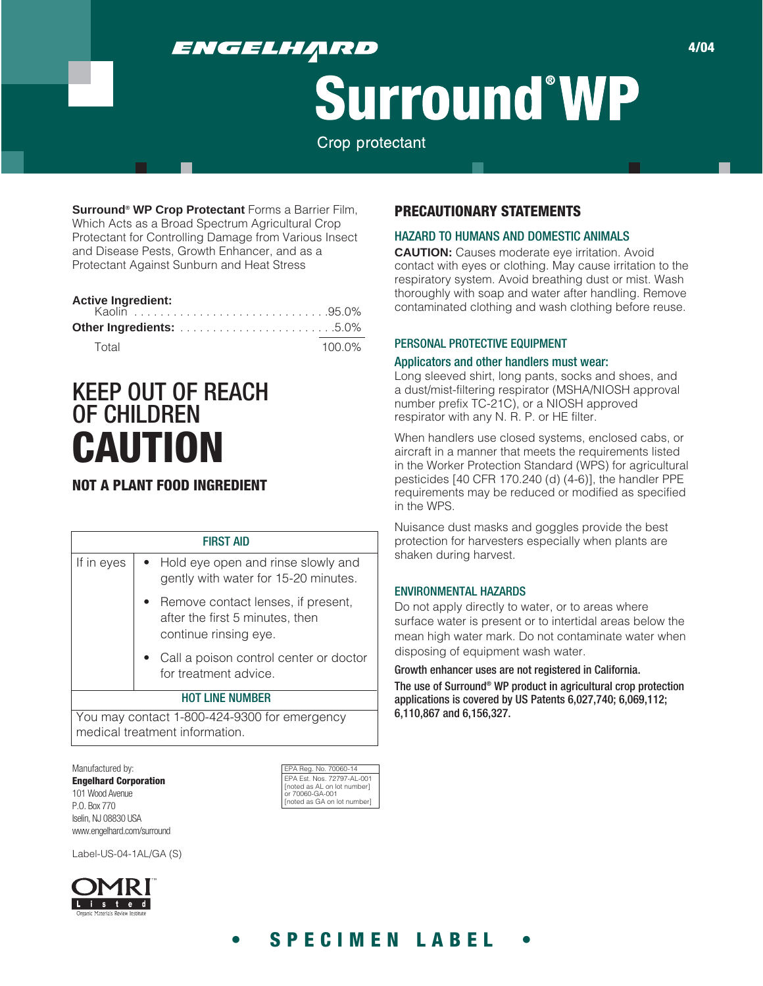# ENGELHĄRD

# **Surround°WP**

Crop protectant

**Surround® WP Crop Protectant** Forms a Barrier Film, Which Acts as a Broad Spectrum Agricultural Crop Protectant for Controlling Damage from Various Insect and Disease Pests, Growth Enhancer, and as a Protectant Against Sunburn and Heat Stress

| <b>Active Ingredient:</b> |  |  |           |
|---------------------------|--|--|-----------|
|                           |  |  |           |
| Total                     |  |  | $100.0\%$ |

# KEEP OUT OF REACH OF CHILDREN **CAUTION**

## **NOT A PLANT FOOD INGREDIENT**

|            | <b>FIRST AID</b>                                                                               |
|------------|------------------------------------------------------------------------------------------------|
| If in eyes | Hold eye open and rinse slowly and<br>gently with water for 15-20 minutes.                     |
|            | Remove contact lenses, if present,<br>after the first 5 minutes, then<br>continue rinsing eye. |
|            | • Call a poison control center or doctor<br>for treatment advice.                              |
|            | <b>HOT LINE NUMBER</b>                                                                         |
|            | You may contact 1-800-424-9300 for emergency<br>medical treatment information.                 |

Manufactured by: **Engelhard Corporation** 101 Wood Avenue P.O. Box 770 Iselin, NJ 08830 USA www.engelhard.com/surround

Label-US-04-1AL/GA (S)



## **PRECAUTIONARY STATEMENTS**

#### HAZARD TO HUMANS AND DOMESTIC ANIMALS

**CAUTION:** Causes moderate eye irritation. Avoid contact with eyes or clothing. May cause irritation to the respiratory system. Avoid breathing dust or mist. Wash thoroughly with soap and water after handling. Remove contaminated clothing and wash clothing before reuse.

#### PERSONAL PROTECTIVE EQUIPMENT

#### Applicators and other handlers must wear:

Long sleeved shirt, long pants, socks and shoes, and a dust/mist-filtering respirator (MSHA/NIOSH approval number prefix TC-21C), or a NIOSH approved respirator with any N. R. P. or HE filter.

When handlers use closed systems, enclosed cabs, or aircraft in a manner that meets the requirements listed in the Worker Protection Standard (WPS) for agricultural pesticides [40 CFR 170.240 (d) (4-6)], the handler PPE requirements may be reduced or modified as specified in the WPS.

Nuisance dust masks and goggles provide the best protection for harvesters especially when plants are shaken during harvest.

#### ENVIRONMENTAL HAZARDS

Do not apply directly to water, or to areas where surface water is present or to intertidal areas below the mean high water mark. Do not contaminate water when disposing of equipment wash water.

Growth enhancer uses are not registered in California. The use of Surround® WP product in agricultural crop protection applications is covered by US Patents 6,027,740; 6,069,112; 6,110,867 and 6,156,327.

# **• SPECIMEN LABEL •**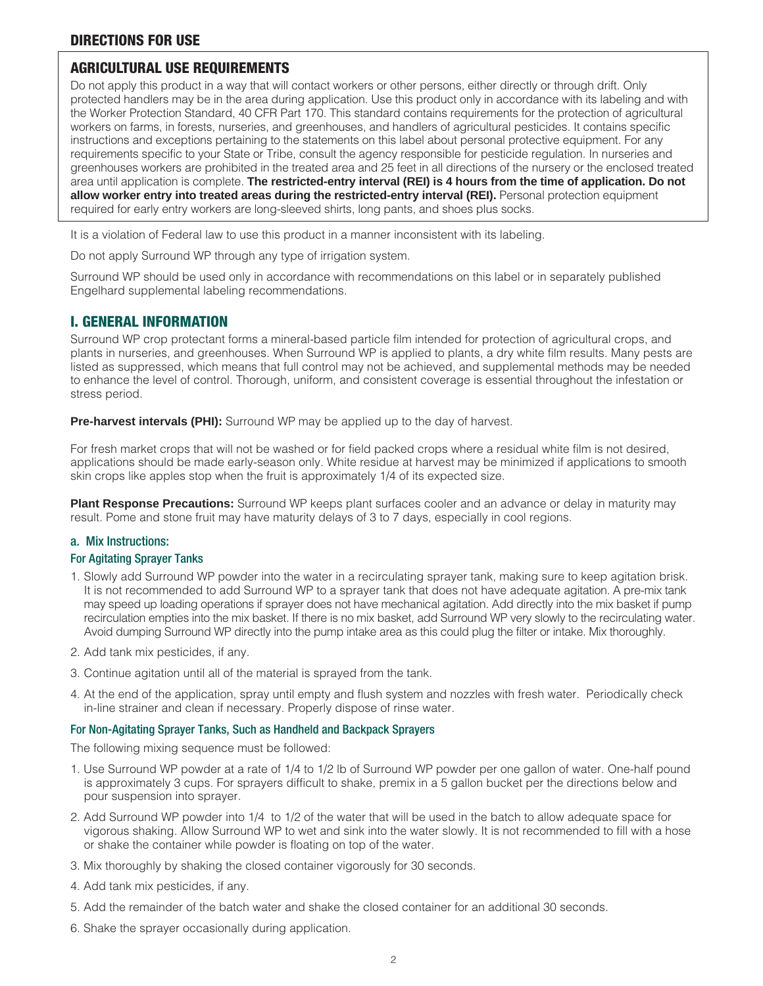#### **DIRECTIONS FOR USE**

#### **AGRICULTURAL USE REQUIREMENTS**

Do not apply this product in a way that will contact workers or other persons, either directly or through drift. Only protected handlers may be in the area during application. Use this product only in accordance with its labeling and with the Worker Protection Standard, 40 CFR Part 170. This standard contains requirements for the protection of agricultural workers on farms, in forests, nurseries, and greenhouses, and handlers of agricultural pesticides. It contains specific instructions and exceptions pertaining to the statements on this label about personal protective equipment. For any requirements specific to your State or Tribe, consult the agency responsible for pesticide regulation. In nurseries and greenhouses workers are prohibited in the treated area and 25 feet in all directions of the nursery or the enclosed treated area until application is complete. **The restricted-entry interval (REI) is 4 hours from the time of application. Do not allow worker entry into treated areas during the restricted-entry interval (REI).** Personal protection equipment required for early entry workers are long-sleeved shirts, long pants, and shoes plus socks.

It is a violation of Federal law to use this product in a manner inconsistent with its labeling.

Do not apply Surround WP through any type of irrigation system.

Surround WP should be used only in accordance with recommendations on this label or in separately published Engelhard supplemental labeling recommendations.

#### **I. GENERAL INFORMATION**

Surround WP crop protectant forms a mineral-based particle film intended for protection of agricultural crops, and plants in nurseries, and greenhouses. When Surround WP is applied to plants, a dry white film results. Many pests are listed as suppressed, which means that full control may not be achieved, and supplemental methods may be needed to enhance the level of control. Thorough, uniform, and consistent coverage is essential throughout the infestation or stress period.

**Pre-harvest intervals (PHI):** Surround WP may be applied up to the day of harvest.

For fresh market crops that will not be washed or for field packed crops where a residual white film is not desired, applications should be made early-season only. White residue at harvest may be minimized if applications to smooth skin crops like apples stop when the fruit is approximately 1/4 of its expected size.

**Plant Response Precautions:** Surround WP keeps plant surfaces cooler and an advance or delay in maturity may result. Pome and stone fruit may have maturity delays of 3 to 7 days, especially in cool regions.

#### a. Mix Instructions:

#### For Agitating Sprayer Tanks

- 1. Slowly add Surround WP powder into the water in a recirculating sprayer tank, making sure to keep agitation brisk. It is not recommended to add Surround WP to a sprayer tank that does not have adequate agitation. A pre-mix tank may speed up loading operations if sprayer does not have mechanical agitation. Add directly into the mix basket if pump recirculation empties into the mix basket. If there is no mix basket, add Surround WP very slowly to the recirculating water. Avoid dumping Surround WP directly into the pump intake area as this could plug the filter or intake. Mix thoroughly.
- 2. Add tank mix pesticides, if any.
- 3. Continue agitation until all of the material is sprayed from the tank.
- 4. At the end of the application, spray until empty and flush system and nozzles with fresh water. Periodically check in-line strainer and clean if necessary. Properly dispose of rinse water.

#### For Non-Agitating Sprayer Tanks, Such as Handheld and Backpack Sprayers

The following mixing sequence must be followed:

- 1. Use Surround WP powder at a rate of 1/4 to 1/2 lb of Surround WP powder per one gallon of water. One-half pound is approximately 3 cups. For sprayers difficult to shake, premix in a 5 gallon bucket per the directions below and pour suspension into sprayer.
- 2. Add Surround WP powder into 1/4 to 1/2 of the water that will be used in the batch to allow adequate space for vigorous shaking. Allow Surround WP to wet and sink into the water slowly. It is not recommended to fill with a hose or shake the container while powder is floating on top of the water.
- 3. Mix thoroughly by shaking the closed container vigorously for 30 seconds.
- 4. Add tank mix pesticides, if any.
- 5. Add the remainder of the batch water and shake the closed container for an additional 30 seconds.
- 6. Shake the sprayer occasionally during application.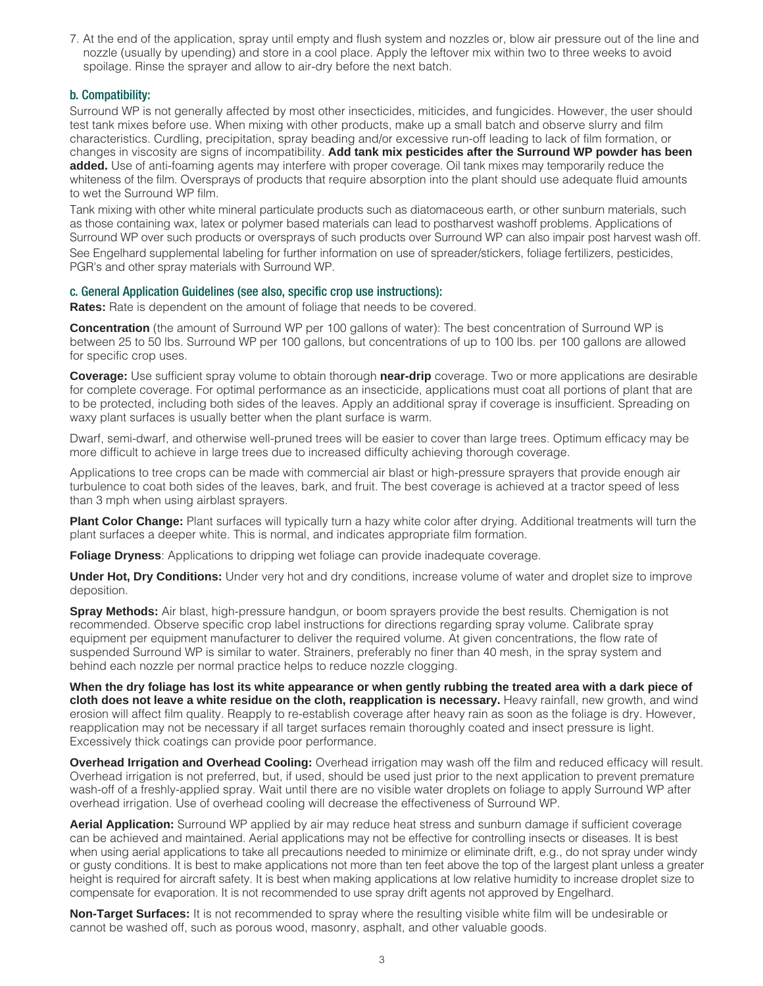7. At the end of the application, spray until empty and flush system and nozzles or, blow air pressure out of the line and nozzle (usually by upending) and store in a cool place. Apply the leftover mix within two to three weeks to avoid spoilage. Rinse the sprayer and allow to air-dry before the next batch.

#### b. Compatibility:

Surround WP is not generally affected by most other insecticides, miticides, and fungicides. However, the user should test tank mixes before use. When mixing with other products, make up a small batch and observe slurry and film characteristics. Curdling, precipitation, spray beading and/or excessive run-off leading to lack of film formation, or changes in viscosity are signs of incompatibility. **Add tank mix pesticides after the Surround WP powder has been added.** Use of anti-foaming agents may interfere with proper coverage. Oil tank mixes may temporarily reduce the whiteness of the film. Oversprays of products that require absorption into the plant should use adequate fluid amounts to wet the Surround WP film.

Tank mixing with other white mineral particulate products such as diatomaceous earth, or other sunburn materials, such as those containing wax, latex or polymer based materials can lead to postharvest washoff problems. Applications of Surround WP over such products or oversprays of such products over Surround WP can also impair post harvest wash off.

See Engelhard supplemental labeling for further information on use of spreader/stickers, foliage fertilizers, pesticides, PGR's and other spray materials with Surround WP.

#### c. General Application Guidelines (see also, specific crop use instructions):

**Rates:** Rate is dependent on the amount of foliage that needs to be covered.

**Concentration** (the amount of Surround WP per 100 gallons of water): The best concentration of Surround WP is between 25 to 50 lbs. Surround WP per 100 gallons, but concentrations of up to 100 lbs. per 100 gallons are allowed for specific crop uses.

**Coverage:** Use sufficient spray volume to obtain thorough **near-drip** coverage. Two or more applications are desirable for complete coverage. For optimal performance as an insecticide, applications must coat all portions of plant that are to be protected, including both sides of the leaves. Apply an additional spray if coverage is insufficient. Spreading on waxy plant surfaces is usually better when the plant surface is warm.

Dwarf, semi-dwarf, and otherwise well-pruned trees will be easier to cover than large trees. Optimum efficacy may be more difficult to achieve in large trees due to increased difficulty achieving thorough coverage.

Applications to tree crops can be made with commercial air blast or high-pressure sprayers that provide enough air turbulence to coat both sides of the leaves, bark, and fruit. The best coverage is achieved at a tractor speed of less than 3 mph when using airblast sprayers.

Plant Color Change: Plant surfaces will typically turn a hazy white color after drying. Additional treatments will turn the plant surfaces a deeper white. This is normal, and indicates appropriate film formation.

**Foliage Dryness**: Applications to dripping wet foliage can provide inadequate coverage.

**Under Hot, Dry Conditions:** Under very hot and dry conditions, increase volume of water and droplet size to improve deposition.

**Spray Methods:** Air blast, high-pressure handgun, or boom sprayers provide the best results. Chemigation is not recommended. Observe specific crop label instructions for directions regarding spray volume. Calibrate spray equipment per equipment manufacturer to deliver the required volume. At given concentrations, the flow rate of suspended Surround WP is similar to water. Strainers, preferably no finer than 40 mesh, in the spray system and behind each nozzle per normal practice helps to reduce nozzle clogging.

**When the dry foliage has lost its white appearance or when gently rubbing the treated area with a dark piece of cloth does not leave a white residue on the cloth, reapplication is necessary.** Heavy rainfall, new growth, and wind erosion will affect film quality. Reapply to re-establish coverage after heavy rain as soon as the foliage is dry. However, reapplication may not be necessary if all target surfaces remain thoroughly coated and insect pressure is light. Excessively thick coatings can provide poor performance.

**Overhead Irrigation and Overhead Cooling:** Overhead irrigation may wash off the film and reduced efficacy will result. Overhead irrigation is not preferred, but, if used, should be used just prior to the next application to prevent premature wash-off of a freshly-applied spray. Wait until there are no visible water droplets on foliage to apply Surround WP after overhead irrigation. Use of overhead cooling will decrease the effectiveness of Surround WP.

**Aerial Application:** Surround WP applied by air may reduce heat stress and sunburn damage if sufficient coverage can be achieved and maintained. Aerial applications may not be effective for controlling insects or diseases. It is best when using aerial applications to take all precautions needed to minimize or eliminate drift, e.g., do not spray under windy or gusty conditions. It is best to make applications not more than ten feet above the top of the largest plant unless a greater height is required for aircraft safety. It is best when making applications at low relative humidity to increase droplet size to compensate for evaporation. It is not recommended to use spray drift agents not approved by Engelhard.

**Non-Target Surfaces:** It is not recommended to spray where the resulting visible white film will be undesirable or cannot be washed off, such as porous wood, masonry, asphalt, and other valuable goods.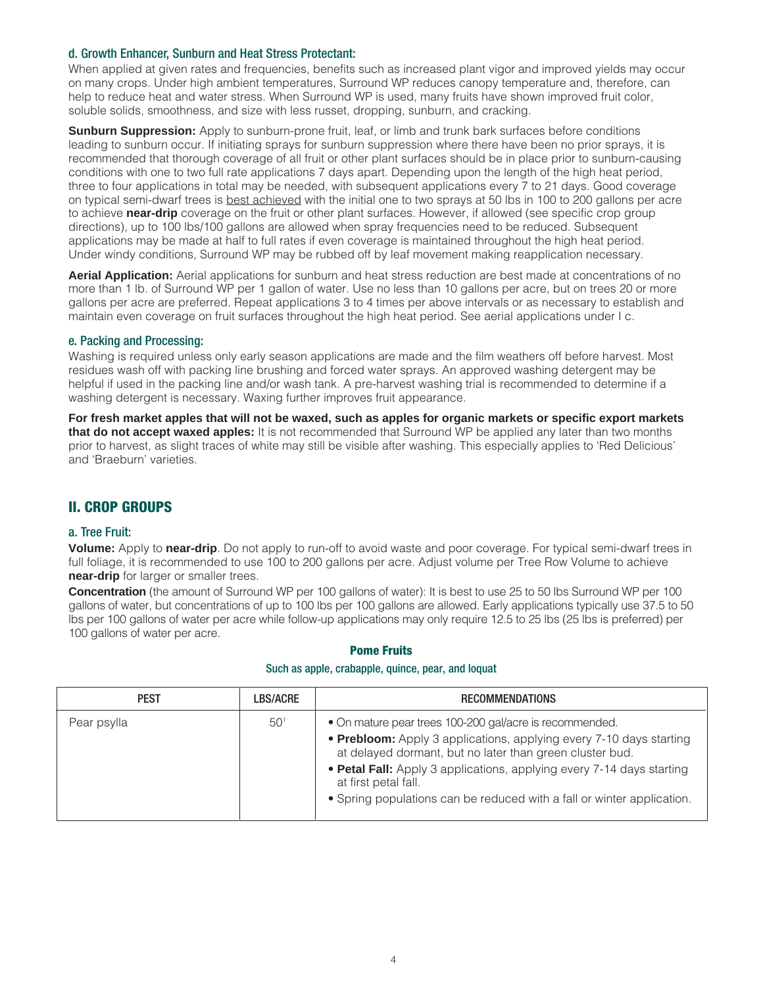#### d. Growth Enhancer, Sunburn and Heat Stress Protectant:

When applied at given rates and frequencies, benefits such as increased plant vigor and improved yields may occur on many crops. Under high ambient temperatures, Surround WP reduces canopy temperature and, therefore, can help to reduce heat and water stress. When Surround WP is used, many fruits have shown improved fruit color, soluble solids, smoothness, and size with less russet, dropping, sunburn, and cracking.

**Sunburn Suppression:** Apply to sunburn-prone fruit, leaf, or limb and trunk bark surfaces before conditions leading to sunburn occur. If initiating sprays for sunburn suppression where there have been no prior sprays, it is recommended that thorough coverage of all fruit or other plant surfaces should be in place prior to sunburn-causing conditions with one to two full rate applications 7 days apart. Depending upon the length of the high heat period, three to four applications in total may be needed, with subsequent applications every 7 to 21 days. Good coverage on typical semi-dwarf trees is best achieved with the initial one to two sprays at 50 lbs in 100 to 200 gallons per acre to achieve **near-drip** coverage on the fruit or other plant surfaces. However, if allowed (see specific crop group directions), up to 100 lbs/100 gallons are allowed when spray frequencies need to be reduced. Subsequent applications may be made at half to full rates if even coverage is maintained throughout the high heat period. Under windy conditions, Surround WP may be rubbed off by leaf movement making reapplication necessary.

**Aerial Application:** Aerial applications for sunburn and heat stress reduction are best made at concentrations of no more than 1 lb. of Surround WP per 1 gallon of water. Use no less than 10 gallons per acre, but on trees 20 or more gallons per acre are preferred. Repeat applications 3 to 4 times per above intervals or as necessary to establish and maintain even coverage on fruit surfaces throughout the high heat period. See aerial applications under I c.

#### e. Packing and Processing:

Washing is required unless only early season applications are made and the film weathers off before harvest. Most residues wash off with packing line brushing and forced water sprays. An approved washing detergent may be helpful if used in the packing line and/or wash tank. A pre-harvest washing trial is recommended to determine if a washing detergent is necessary. Waxing further improves fruit appearance.

**For fresh market apples that will not be waxed, such as apples for organic markets or specific export markets that do not accept waxed apples:** It is not recommended that Surround WP be applied any later than two months prior to harvest, as slight traces of white may still be visible after washing. This especially applies to 'Red Delicious' and 'Braeburn' varieties.

#### **II. CROP GROUPS**

#### a. Tree Fruit:

**Volume:** Apply to **near-drip**. Do not apply to run-off to avoid waste and poor coverage. For typical semi-dwarf trees in full foliage, it is recommended to use 100 to 200 gallons per acre. Adjust volume per Tree Row Volume to achieve **near-drip** for larger or smaller trees.

**Concentration** (the amount of Surround WP per 100 gallons of water): It is best to use 25 to 50 lbs Surround WP per 100 gallons of water, but concentrations of up to 100 lbs per 100 gallons are allowed. Early applications typically use 37.5 to 50 lbs per 100 gallons of water per acre while follow-up applications may only require 12.5 to 25 lbs (25 lbs is preferred) per 100 gallons of water per acre.

#### **Pome Fruits**

#### Such as apple, crabapple, quince, pear, and loquat

| <b>PEST</b> | LBS/ACRE | <b>RECOMMENDATIONS</b>                                                                                                          |
|-------------|----------|---------------------------------------------------------------------------------------------------------------------------------|
| Pear psylla | $50^{1}$ | • On mature pear trees 100-200 gal/acre is recommended.                                                                         |
|             |          | • Prebloom: Apply 3 applications, applying every 7-10 days starting<br>at delayed dormant, but no later than green cluster bud. |
|             |          | • Petal Fall: Apply 3 applications, applying every 7-14 days starting<br>at first petal fall.                                   |
|             |          | • Spring populations can be reduced with a fall or winter application.                                                          |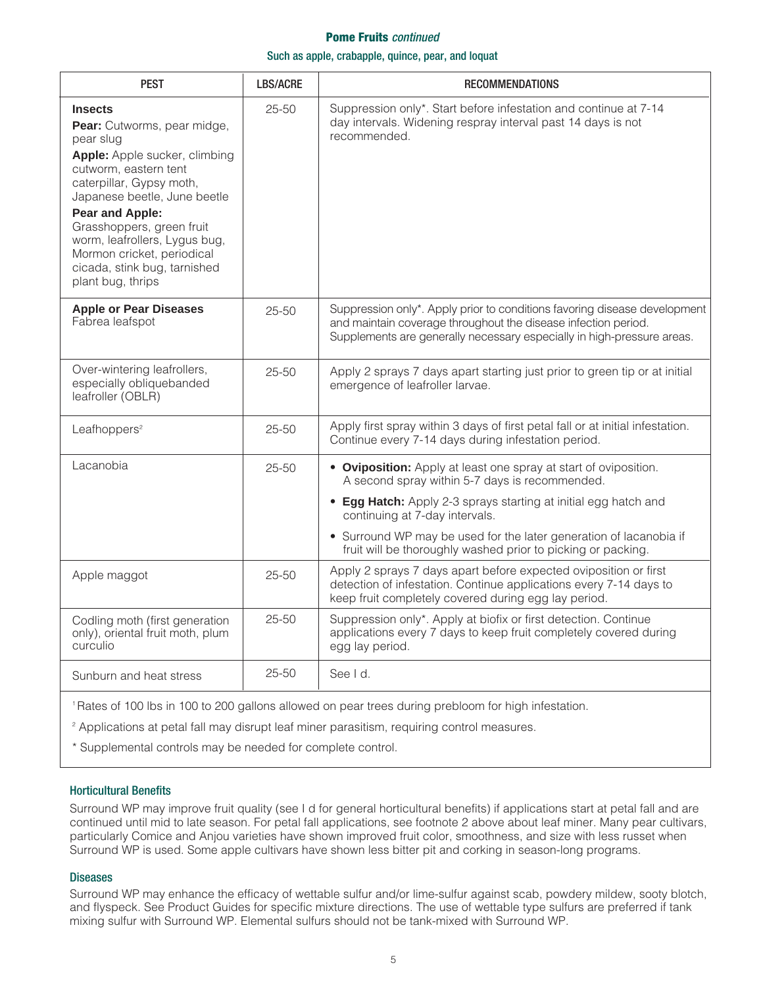#### **Pome Fruits** *continued*

#### Such as apple, crabapple, quince, pear, and loquat

| <b>PEST</b>                                                                                                                                                                                                                                                                                                                                                 | <b>LBS/ACRE</b> | <b>RECOMMENDATIONS</b>                                                                                                                                                                                                |
|-------------------------------------------------------------------------------------------------------------------------------------------------------------------------------------------------------------------------------------------------------------------------------------------------------------------------------------------------------------|-----------------|-----------------------------------------------------------------------------------------------------------------------------------------------------------------------------------------------------------------------|
| <b>Insects</b><br>Pear: Cutworms, pear midge,<br>pear slug<br>Apple: Apple sucker, climbing<br>cutworm, eastern tent<br>caterpillar, Gypsy moth,<br>Japanese beetle, June beetle<br><b>Pear and Apple:</b><br>Grasshoppers, green fruit<br>worm, leafrollers, Lygus bug,<br>Mormon cricket, periodical<br>cicada, stink bug, tarnished<br>plant bug, thrips | $25 - 50$       | Suppression only*. Start before infestation and continue at 7-14<br>day intervals. Widening respray interval past 14 days is not<br>recommended.                                                                      |
| <b>Apple or Pear Diseases</b><br>Fabrea leafspot                                                                                                                                                                                                                                                                                                            | $25 - 50$       | Suppression only*. Apply prior to conditions favoring disease development<br>and maintain coverage throughout the disease infection period.<br>Supplements are generally necessary especially in high-pressure areas. |
| Over-wintering leafrollers,<br>especially obliquebanded<br>leafroller (OBLR)                                                                                                                                                                                                                                                                                | $25 - 50$       | Apply 2 sprays 7 days apart starting just prior to green tip or at initial<br>emergence of leafroller larvae.                                                                                                         |
| Leafhoppers <sup>2</sup>                                                                                                                                                                                                                                                                                                                                    | $25 - 50$       | Apply first spray within 3 days of first petal fall or at initial infestation.<br>Continue every 7-14 days during infestation period.                                                                                 |
| Lacanobia                                                                                                                                                                                                                                                                                                                                                   | $25 - 50$       | • Oviposition: Apply at least one spray at start of oviposition.<br>A second spray within 5-7 days is recommended.                                                                                                    |
|                                                                                                                                                                                                                                                                                                                                                             |                 | • Egg Hatch: Apply 2-3 sprays starting at initial egg hatch and<br>continuing at 7-day intervals.                                                                                                                     |
|                                                                                                                                                                                                                                                                                                                                                             |                 | • Surround WP may be used for the later generation of lacanobia if<br>fruit will be thoroughly washed prior to picking or packing.                                                                                    |
| Apple maggot                                                                                                                                                                                                                                                                                                                                                | $25 - 50$       | Apply 2 sprays 7 days apart before expected oviposition or first<br>detection of infestation. Continue applications every 7-14 days to<br>keep fruit completely covered during egg lay period.                        |
| Codling moth (first generation<br>only), oriental fruit moth, plum<br>curculio                                                                                                                                                                                                                                                                              | $25 - 50$       | Suppression only*. Apply at biofix or first detection. Continue<br>applications every 7 days to keep fruit completely covered during<br>egg lay period.                                                               |
| Sunburn and heat stress                                                                                                                                                                                                                                                                                                                                     | $25 - 50$       | See I d.                                                                                                                                                                                                              |

1 Rates of 100 lbs in 100 to 200 gallons allowed on pear trees during prebloom for high infestation.

<sup>2</sup> Applications at petal fall may disrupt leaf miner parasitism, requiring control measures.

\* Supplemental controls may be needed for complete control.

#### Horticultural Benefits

Surround WP may improve fruit quality (see I d for general horticultural benefits) if applications start at petal fall and are continued until mid to late season. For petal fall applications, see footnote 2 above about leaf miner. Many pear cultivars, particularly Comice and Anjou varieties have shown improved fruit color, smoothness, and size with less russet when Surround WP is used. Some apple cultivars have shown less bitter pit and corking in season-long programs.

#### **Diseases**

Surround WP may enhance the efficacy of wettable sulfur and/or lime-sulfur against scab, powdery mildew, sooty blotch, and flyspeck. See Product Guides for specific mixture directions. The use of wettable type sulfurs are preferred if tank mixing sulfur with Surround WP. Elemental sulfurs should not be tank-mixed with Surround WP.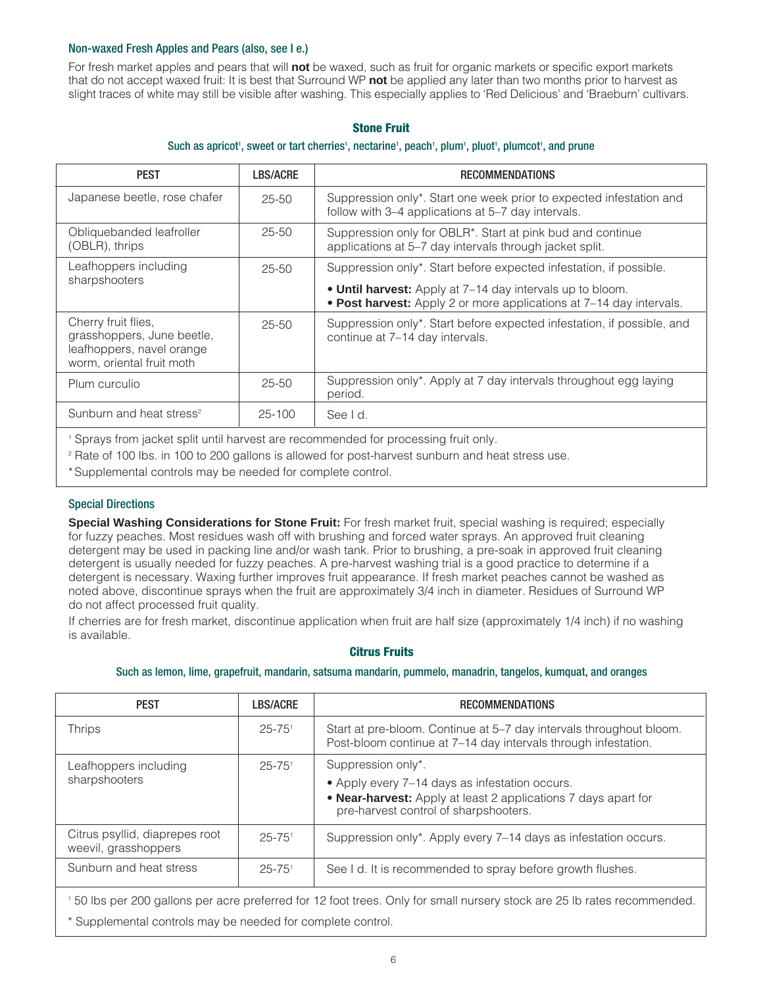#### Non-waxed Fresh Apples and Pears (also, see I e.)

For fresh market apples and pears that will **not** be waxed, such as fruit for organic markets or specific export markets that do not accept waxed fruit: It is best that Surround WP **not** be applied any later than two months prior to harvest as slight traces of white may still be visible after washing. This especially applies to 'Red Delicious' and 'Braeburn' cultivars.

#### **Stone Fruit**

#### Such as apricot', sweet or tart cherries', nectarine', peach', plum', pluot', plumcot', and prune

| <b>PEST</b>                                                                                                 | <b>LBS/ACRE</b> | <b>RECOMMENDATIONS</b>                                                                                                           |
|-------------------------------------------------------------------------------------------------------------|-----------------|----------------------------------------------------------------------------------------------------------------------------------|
| Japanese beetle, rose chafer                                                                                | $25 - 50$       | Suppression only*. Start one week prior to expected infestation and<br>follow with 3-4 applications at 5-7 day intervals.        |
| Obliquebanded leafroller<br>(OBLR), thrips                                                                  | $25 - 50$       | Suppression only for OBLR*. Start at pink bud and continue<br>applications at 5-7 day intervals through jacket split.            |
| Leafhoppers including<br>sharpshooters                                                                      | $25 - 50$       | Suppression only*. Start before expected infestation, if possible.                                                               |
|                                                                                                             |                 | . Until harvest: Apply at 7-14 day intervals up to bloom.<br>• Post harvest: Apply 2 or more applications at 7-14 day intervals. |
| Cherry fruit flies,<br>grasshoppers, June beetle,<br>leafhoppers, navel orange<br>worm, oriental fruit moth | $25 - 50$       | Suppression only*. Start before expected infestation, if possible, and<br>continue at 7-14 day intervals.                        |
| Plum curculio                                                                                               | $25 - 50$       | Suppression only*. Apply at 7 day intervals throughout egg laying<br>period.                                                     |
| Sunburn and heat stress <sup>2</sup>                                                                        | $25 - 100$      | See I d.                                                                                                                         |

<sup>1</sup> Sprays from jacket split until harvest are recommended for processing fruit only.

<sup>2</sup> Rate of 100 lbs. in 100 to 200 gallons is allowed for post-harvest sunburn and heat stress use.

\*Supplemental controls may be needed for complete control.

#### Special Directions

**Special Washing Considerations for Stone Fruit:** For fresh market fruit, special washing is required; especially for fuzzy peaches. Most residues wash off with brushing and forced water sprays. An approved fruit cleaning detergent may be used in packing line and/or wash tank. Prior to brushing, a pre-soak in approved fruit cleaning detergent is usually needed for fuzzy peaches. A pre-harvest washing trial is a good practice to determine if a detergent is necessary. Waxing further improves fruit appearance. If fresh market peaches cannot be washed as noted above, discontinue sprays when the fruit are approximately 3/4 inch in diameter. Residues of Surround WP do not affect processed fruit quality.

If cherries are for fresh market, discontinue application when fruit are half size (approximately 1/4 inch) if no washing is available.

#### **Citrus Fruits**

#### Such as lemon, lime, grapefruit, mandarin, satsuma mandarin, pummelo, manadrin, tangelos, kumquat, and oranges

| <b>PEST</b>                                            | <b>LBS/ACRE</b>        | <b>RECOMMENDATIONS</b>                                                                                                                                    |
|--------------------------------------------------------|------------------------|-----------------------------------------------------------------------------------------------------------------------------------------------------------|
| <b>Thrips</b>                                          | $25 - 75$ <sup>1</sup> | Start at pre-bloom. Continue at 5–7 day intervals throughout bloom.<br>Post-bloom continue at 7-14 day intervals through infestation.                     |
| Leafhoppers including                                  | $25 - 75$ <sup>1</sup> | Suppression only*.                                                                                                                                        |
| sharpshooters                                          |                        | • Apply every 7–14 days as infestation occurs.<br>• Near-harvest: Apply at least 2 applications 7 days apart for<br>pre-harvest control of sharpshooters. |
| Citrus psyllid, diaprepes root<br>weevil, grasshoppers | $25 - 75$ <sup>1</sup> | Suppression only*. Apply every 7–14 days as infestation occurs.                                                                                           |
| Sunburn and heat stress                                | $25 - 75$ <sup>1</sup> | See I d. It is recommended to spray before growth flushes.                                                                                                |

<sup>1</sup> 50 lbs per 200 gallons per acre preferred for 12 foot trees. Only for small nursery stock are 25 lb rates recommended.

\* Supplemental controls may be needed for complete control.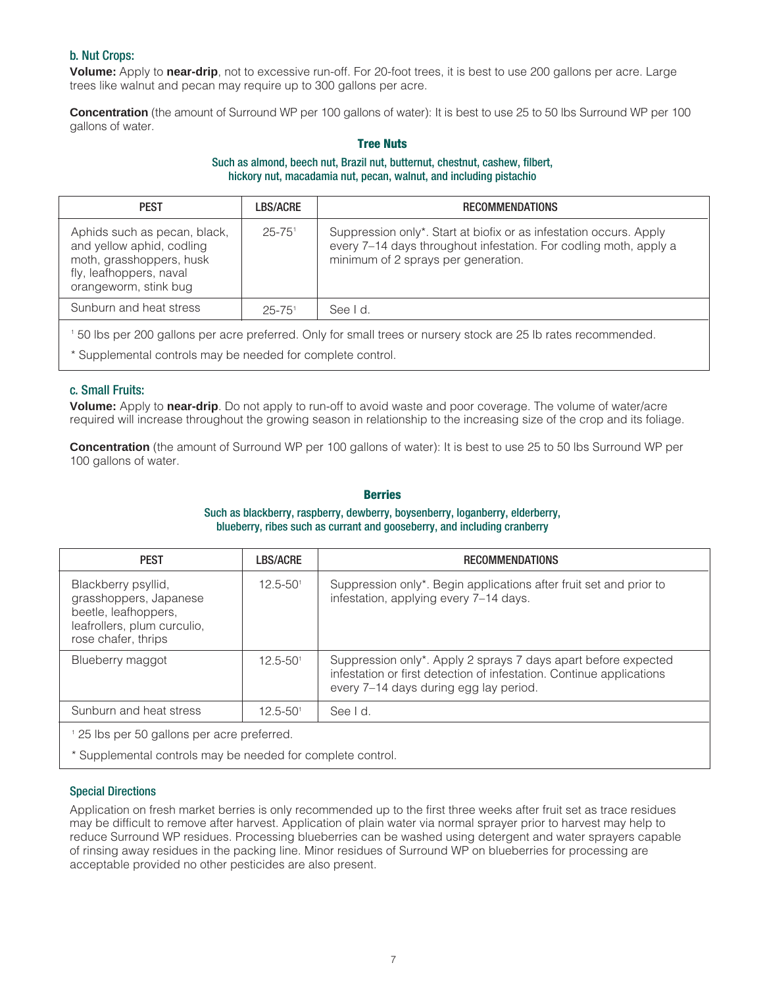#### b. Nut Crops:

**Volume:** Apply to **near-drip**, not to excessive run-off. For 20-foot trees, it is best to use 200 gallons per acre. Large trees like walnut and pecan may require up to 300 gallons per acre.

**Concentration** (the amount of Surround WP per 100 gallons of water): It is best to use 25 to 50 lbs Surround WP per 100 gallons of water.

### **Tree Nuts**

#### Such as almond, beech nut, Brazil nut, butternut, chestnut, cashew, filbert, hickory nut, macadamia nut, pecan, walnut, and including pistachio

| <b>PEST</b>                                                                                                                               | <b>LBS/ACRE</b>        | <b>RECOMMENDATIONS</b>                                                                                                                                                         |
|-------------------------------------------------------------------------------------------------------------------------------------------|------------------------|--------------------------------------------------------------------------------------------------------------------------------------------------------------------------------|
| Aphids such as pecan, black,<br>and yellow aphid, codling<br>moth, grasshoppers, husk<br>fly, leafhoppers, naval<br>orangeworm, stink bug | $25 - 75$ <sup>1</sup> | Suppression only*. Start at biofix or as infestation occurs. Apply<br>every 7-14 days throughout infestation. For codling moth, apply a<br>minimum of 2 sprays per generation. |
| Sunburn and heat stress                                                                                                                   | $25 - 75$ <sup>1</sup> | See I d.                                                                                                                                                                       |
| 50 lbs per 200 gallons per acre preferred. Only for small trees or nursery stock are 25 lb rates recommended.                             |                        |                                                                                                                                                                                |

\* Supplemental controls may be needed for complete control.

#### c. Small Fruits:

**Volume:** Apply to **near-drip**. Do not apply to run-off to avoid waste and poor coverage. The volume of water/acre required will increase throughout the growing season in relationship to the increasing size of the crop and its foliage.

**Concentration** (the amount of Surround WP per 100 gallons of water): It is best to use 25 to 50 lbs Surround WP per 100 gallons of water.

#### **Berries**

#### Such as blackberry, raspberry, dewberry, boysenberry, loganberry, elderberry, blueberry, ribes such as currant and gooseberry, and including cranberry

| <b>PEST</b>                                                                                                                 | LBS/ACRE                 | <b>RECOMMENDATIONS</b>                                                                                                                                                           |
|-----------------------------------------------------------------------------------------------------------------------------|--------------------------|----------------------------------------------------------------------------------------------------------------------------------------------------------------------------------|
| Blackberry psyllid,<br>grasshoppers, Japanese<br>beetle, leafhoppers,<br>leafrollers, plum curculio,<br>rose chafer, thrips | $12.5 - 50$ <sup>1</sup> | Suppression only*. Begin applications after fruit set and prior to<br>infestation, applying every 7-14 days.                                                                     |
| Blueberry maggot                                                                                                            | $12.5 - 50$ <sup>1</sup> | Suppression only*. Apply 2 sprays 7 days apart before expected<br>infestation or first detection of infestation. Continue applications<br>every 7-14 days during egg lay period. |
| Sunburn and heat stress                                                                                                     | $12.5 - 50$ <sup>1</sup> | See Id.                                                                                                                                                                          |
| <sup>1</sup> 25 lbs per 50 gallons per acre preferred.                                                                      |                          |                                                                                                                                                                                  |

\* Supplemental controls may be needed for complete control.

#### Special Directions

Application on fresh market berries is only recommended up to the first three weeks after fruit set as trace residues may be difficult to remove after harvest. Application of plain water via normal sprayer prior to harvest may help to reduce Surround WP residues. Processing blueberries can be washed using detergent and water sprayers capable of rinsing away residues in the packing line. Minor residues of Surround WP on blueberries for processing are acceptable provided no other pesticides are also present.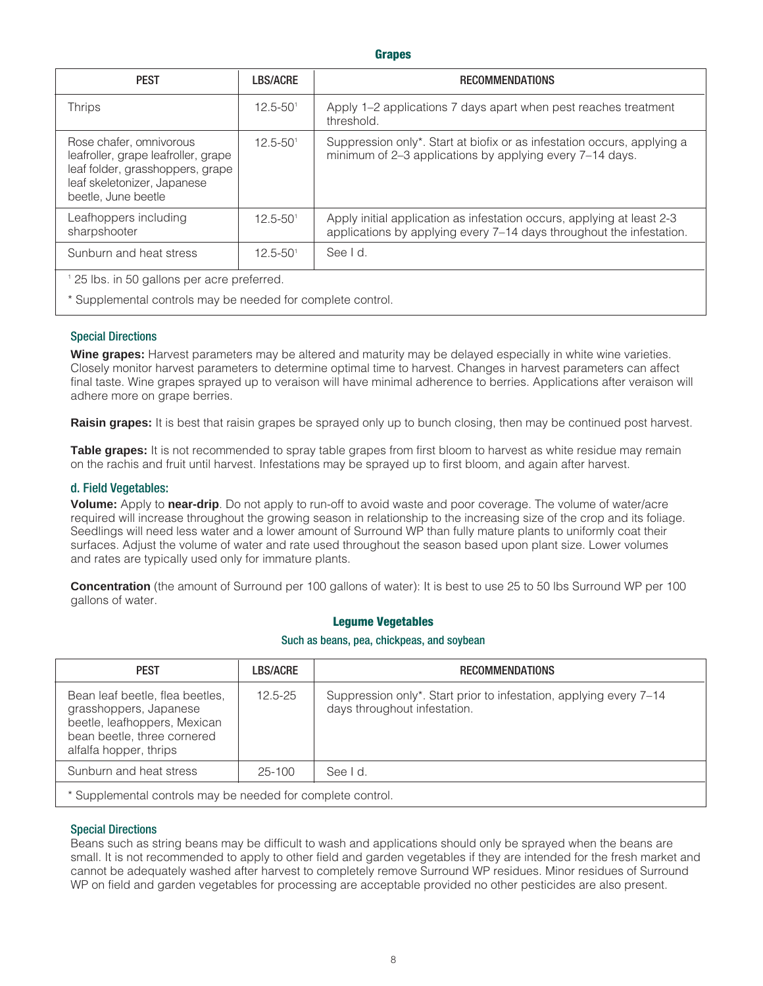#### **Grapes**

| <b>PEST</b>                                                                                                                                              | <b>LBS/ACRE</b>          | <b>RECOMMENDATIONS</b>                                                                                                                         |
|----------------------------------------------------------------------------------------------------------------------------------------------------------|--------------------------|------------------------------------------------------------------------------------------------------------------------------------------------|
| <b>Thrips</b>                                                                                                                                            | $12.5 - 50$ <sup>1</sup> | Apply 1–2 applications 7 days apart when pest reaches treatment<br>threshold.                                                                  |
| Rose chafer, omnivorous<br>leafroller, grape leafroller, grape<br>leaf folder, grasshoppers, grape<br>leaf skeletonizer, Japanese<br>beetle, June beetle | $12.5 - 50$ <sup>1</sup> | Suppression only*. Start at biofix or as infestation occurs, applying a<br>minimum of 2-3 applications by applying every 7-14 days.            |
| Leafhoppers including<br>sharpshooter                                                                                                                    | $12.5 - 50$ <sup>1</sup> | Apply initial application as infestation occurs, applying at least 2-3<br>applications by applying every 7-14 days throughout the infestation. |
| Sunburn and heat stress                                                                                                                                  | $12.5 - 50$ <sup>1</sup> | See I d.                                                                                                                                       |
| <sup>1</sup> 25 lbs. in 50 gallons per acre preferred.                                                                                                   |                          |                                                                                                                                                |
| * Supplemental controls may be needed for complete control.                                                                                              |                          |                                                                                                                                                |

#### Special Directions

**Wine grapes:** Harvest parameters may be altered and maturity may be delayed especially in white wine varieties. Closely monitor harvest parameters to determine optimal time to harvest. Changes in harvest parameters can affect final taste. Wine grapes sprayed up to veraison will have minimal adherence to berries. Applications after veraison will adhere more on grape berries.

**Raisin grapes:** It is best that raisin grapes be sprayed only up to bunch closing, then may be continued post harvest.

**Table grapes:** It is not recommended to spray table grapes from first bloom to harvest as white residue may remain on the rachis and fruit until harvest. Infestations may be sprayed up to first bloom, and again after harvest.

#### d. Field Vegetables:

**Volume:** Apply to **near-drip**. Do not apply to run-off to avoid waste and poor coverage. The volume of water/acre required will increase throughout the growing season in relationship to the increasing size of the crop and its foliage. Seedlings will need less water and a lower amount of Surround WP than fully mature plants to uniformly coat their surfaces. Adjust the volume of water and rate used throughout the season based upon plant size. Lower volumes and rates are typically used only for immature plants.

**Concentration** (the amount of Surround per 100 gallons of water): It is best to use 25 to 50 lbs Surround WP per 100 gallons of water.

#### **Legume Vegetables**

#### Such as beans, pea, chickpeas, and soybean

| <b>PEST</b>                                                                                                                                        | <b>LBS/ACRE</b> | <b>RECOMMENDATIONS</b>                                                                             |
|----------------------------------------------------------------------------------------------------------------------------------------------------|-----------------|----------------------------------------------------------------------------------------------------|
| Bean leaf beetle, flea beetles,<br>grasshoppers, Japanese<br>beetle, leafhoppers, Mexican<br>bean beetle, three cornered<br>alfalfa hopper, thrips | $12.5 - 25$     | Suppression only*. Start prior to infestation, applying every 7–14<br>days throughout infestation. |
| Sunburn and heat stress                                                                                                                            | $25 - 100$      | See I d.                                                                                           |
| * Supplemental controls may be needed for complete control.                                                                                        |                 |                                                                                                    |

#### Special Directions

Beans such as string beans may be difficult to wash and applications should only be sprayed when the beans are small. It is not recommended to apply to other field and garden vegetables if they are intended for the fresh market and cannot be adequately washed after harvest to completely remove Surround WP residues. Minor residues of Surround WP on field and garden vegetables for processing are acceptable provided no other pesticides are also present.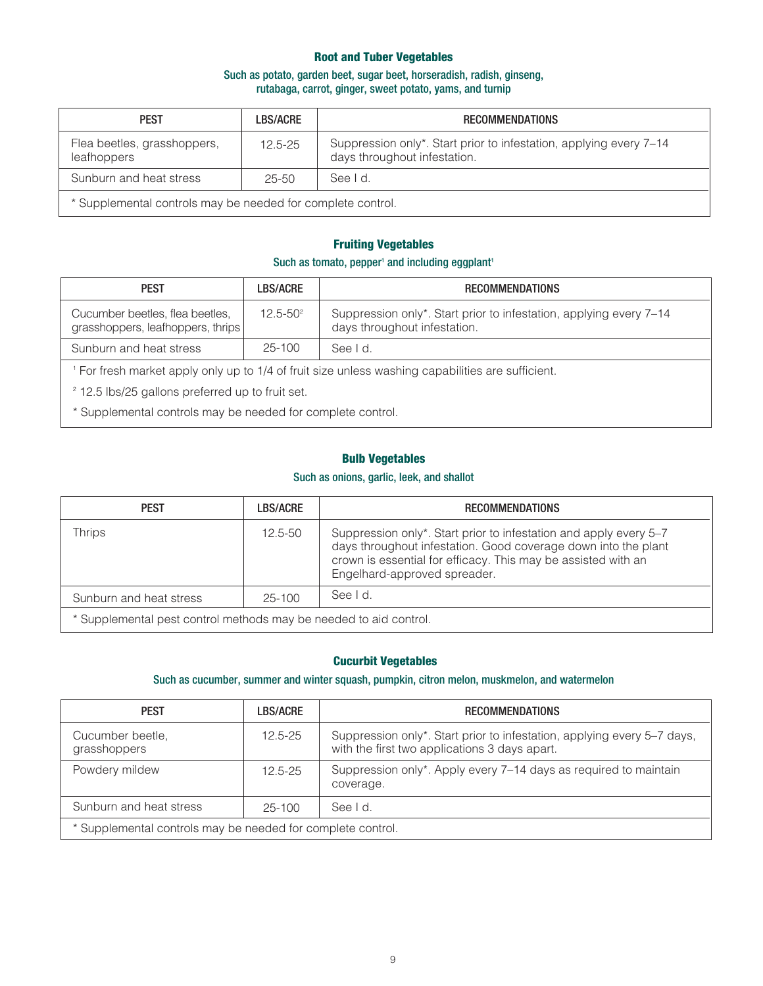#### **Root and Tuber Vegetables**

#### Such as potato, garden beet, sugar beet, horseradish, radish, ginseng, rutabaga, carrot, ginger, sweet potato, yams, and turnip

| <b>PEST</b>                                                 | <b>LBS/ACRE</b> | <b>RECOMMENDATIONS</b>                                                                             |
|-------------------------------------------------------------|-----------------|----------------------------------------------------------------------------------------------------|
| Flea beetles, grasshoppers,<br>leafhoppers                  | $12.5 - 25$     | Suppression only*. Start prior to infestation, applying every 7–14<br>days throughout infestation. |
| Sunburn and heat stress                                     | $25 - 50$       | See I d.                                                                                           |
| * Supplemental controls may be needed for complete control. |                 |                                                                                                    |

# **Fruiting Vegetables**

#### Such as tomato, pepper<sup>1</sup> and including eggplant<sup>1</sup>

| <b>PEST</b>                                                                                     | LBS/ACRE      | <b>RECOMMENDATIONS</b>                                                                             |
|-------------------------------------------------------------------------------------------------|---------------|----------------------------------------------------------------------------------------------------|
| Cucumber beetles, flea beetles,<br>grasshoppers, leafhoppers, thrips                            | $12.5 - 50^2$ | Suppression only*. Start prior to infestation, applying every 7-14<br>days throughout infestation. |
| Sunburn and heat stress                                                                         | $25 - 100$    | See I d                                                                                            |
| For fresh market apply only up to 1/4 of fruit size unless washing capabilities are sufficient. |               |                                                                                                    |

<sup>2</sup> 12.5 lbs/25 gallons preferred up to fruit set.

\* Supplemental controls may be needed for complete control.

#### **Bulb Vegetables**

#### Such as onions, garlic, leek, and shallot

| <b>PEST</b>                                                       | <b>LBS/ACRE</b> | <b>RECOMMENDATIONS</b>                                                                                                                                                                                                               |
|-------------------------------------------------------------------|-----------------|--------------------------------------------------------------------------------------------------------------------------------------------------------------------------------------------------------------------------------------|
| Thrips                                                            | $12.5 - 50$     | Suppression only*. Start prior to infestation and apply every 5–7<br>days throughout infestation. Good coverage down into the plant<br>crown is essential for efficacy. This may be assisted with an<br>Engelhard-approved spreader. |
| Sunburn and heat stress                                           | $25 - 100$      | See I d.                                                                                                                                                                                                                             |
| * Supplemental pest control methods may be needed to aid control. |                 |                                                                                                                                                                                                                                      |

#### **Cucurbit Vegetables**

#### Such as cucumber, summer and winter squash, pumpkin, citron melon, muskmelon, and watermelon

| <b>PEST</b>                                                 | <b>LBS/ACRE</b> | <b>RECOMMENDATIONS</b>                                                                                                   |
|-------------------------------------------------------------|-----------------|--------------------------------------------------------------------------------------------------------------------------|
| Cucumber beetle,<br>grasshoppers                            | $12.5 - 25$     | Suppression only*. Start prior to infestation, applying every 5–7 days,<br>with the first two applications 3 days apart. |
| Powdery mildew                                              | $12.5 - 25$     | Suppression only*. Apply every 7-14 days as required to maintain<br>coverage.                                            |
| Sunburn and heat stress                                     | 25-100          | See I d.                                                                                                                 |
| * Supplemental controls may be needed for complete control. |                 |                                                                                                                          |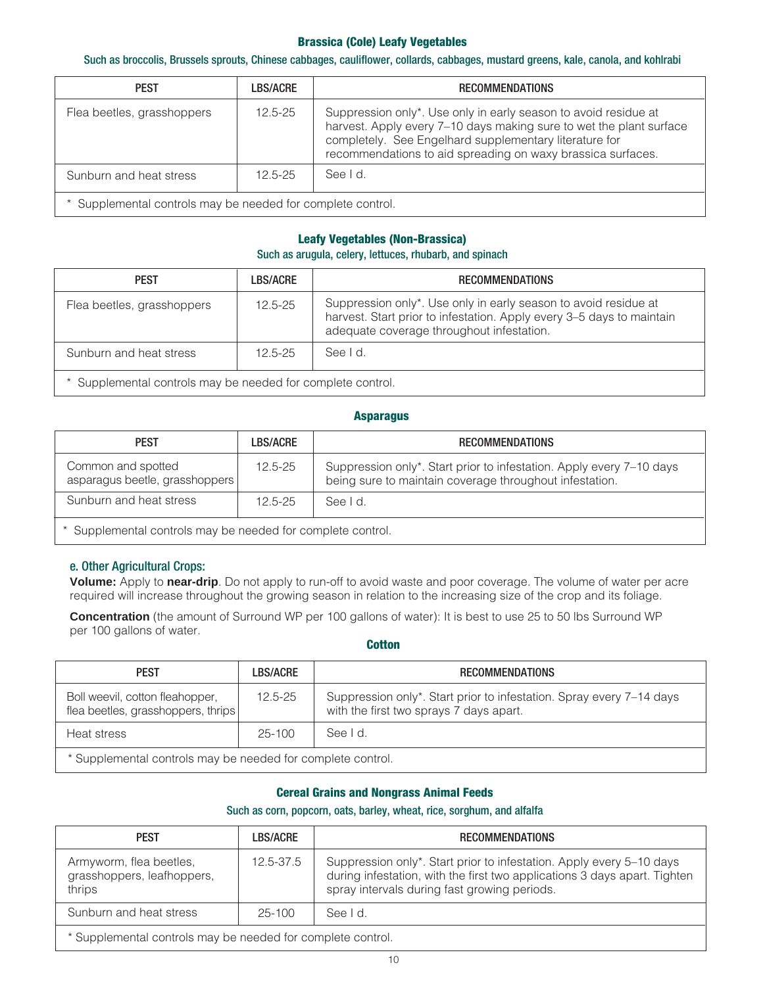#### **Brassica (Cole) Leafy Vegetables**

#### Such as broccolis, Brussels sprouts, Chinese cabbages, cauliflower, collards, cabbages, mustard greens, kale, canola, and kohlrabi

| <b>PEST</b>                                                 | LBS/ACRE    | <b>RECOMMENDATIONS</b>                                                                                                                                                                                                                                          |
|-------------------------------------------------------------|-------------|-----------------------------------------------------------------------------------------------------------------------------------------------------------------------------------------------------------------------------------------------------------------|
| Flea beetles, grasshoppers                                  | $12.5 - 25$ | Suppression only*. Use only in early season to avoid residue at<br>harvest. Apply every 7-10 days making sure to wet the plant surface<br>completely. See Engelhard supplementary literature for<br>recommendations to aid spreading on waxy brassica surfaces. |
| Sunburn and heat stress                                     | $12.5 - 25$ | See I d.                                                                                                                                                                                                                                                        |
| * Supplemental controls may be needed for complete control. |             |                                                                                                                                                                                                                                                                 |

#### **Leafy Vegetables (Non-Brassica)**

#### Such as arugula, celery, lettuces, rhubarb, and spinach

| <b>PEST</b>                                                | LBS/ACRE    | <b>RECOMMENDATIONS</b>                                                                                                                                                                |
|------------------------------------------------------------|-------------|---------------------------------------------------------------------------------------------------------------------------------------------------------------------------------------|
| Flea beetles, grasshoppers                                 | $12.5 - 25$ | Suppression only*. Use only in early season to avoid residue at<br>harvest. Start prior to infestation. Apply every 3-5 days to maintain<br>adequate coverage throughout infestation. |
| Sunburn and heat stress                                    | $12.5 - 25$ | See I d.                                                                                                                                                                              |
| * Supplemental controls may be needed for complete control |             |                                                                                                                                                                                       |

Supplemental controls may be needed for complete control.

#### **Asparagus**

| <b>PEST</b>                                                 | <b>LBS/ACRE</b> | <b>RECOMMENDATIONS</b>                                                                                                          |
|-------------------------------------------------------------|-----------------|---------------------------------------------------------------------------------------------------------------------------------|
| Common and spotted<br>asparagus beetle, grasshoppers        | $12.5 - 25$     | Suppression only*. Start prior to infestation. Apply every 7-10 days<br>being sure to maintain coverage throughout infestation. |
| Sunburn and heat stress                                     | $12.5 - 25$     | See Id.                                                                                                                         |
| * Supplemental controls may be needed for complete control. |                 |                                                                                                                                 |

#### e. Other Agricultural Crops:

**Volume:** Apply to **near-drip**. Do not apply to run-off to avoid waste and poor coverage. The volume of water per acre required will increase throughout the growing season in relation to the increasing size of the crop and its foliage.

**Concentration** (the amount of Surround WP per 100 gallons of water): It is best to use 25 to 50 lbs Surround WP per 100 gallons of water.

#### **Cotton**

| <b>PEST</b>                                                           | <b>LBS/ACRE</b> | <b>RECOMMENDATIONS</b>                                                                                          |
|-----------------------------------------------------------------------|-----------------|-----------------------------------------------------------------------------------------------------------------|
| Boll weevil, cotton fleahopper,<br>flea beetles, grasshoppers, thrips | $12.5 - 25$     | Suppression only*. Start prior to infestation. Spray every 7-14 days<br>with the first two sprays 7 days apart. |
| Heat stress                                                           | 25-100          | See I d.                                                                                                        |
| * Supplemental controls may be needed for complete control.           |                 |                                                                                                                 |

#### **Cereal Grains and Nongrass Animal Feeds**

#### Such as corn, popcorn, oats, barley, wheat, rice, sorghum, and alfalfa

| <b>PEST</b>                                                     | <b>LBS/ACRE</b> | <b>RECOMMENDATIONS</b>                                                                                                                                                                            |
|-----------------------------------------------------------------|-----------------|---------------------------------------------------------------------------------------------------------------------------------------------------------------------------------------------------|
| Armyworm, flea beetles,<br>grasshoppers, leafhoppers,<br>thrips | 12.5-37.5       | Suppression only*. Start prior to infestation. Apply every 5-10 days<br>during infestation, with the first two applications 3 days apart. Tighten<br>spray intervals during fast growing periods. |
| Sunburn and heat stress                                         | $25 - 100$      | See I d.                                                                                                                                                                                          |
| * Supplemental controls may be needed for complete control.     |                 |                                                                                                                                                                                                   |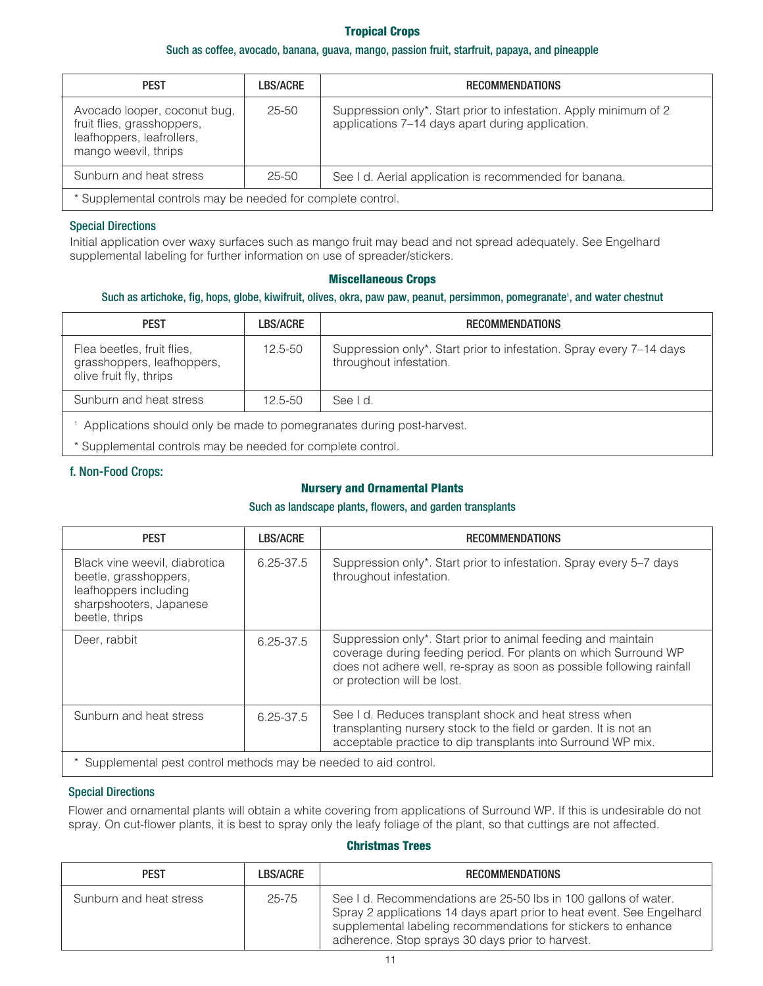#### **Tropical Crops**

#### Such as coffee, avocado, banana, guava, mango, passion fruit, starfruit, papaya, and pineapple

| <b>PEST</b>                                                                                                     | LBS/ACRE  | <b>RECOMMENDATIONS</b>                                                                                                |
|-----------------------------------------------------------------------------------------------------------------|-----------|-----------------------------------------------------------------------------------------------------------------------|
| Avocado looper, coconut bug,<br>fruit flies, grasshoppers,<br>leafhoppers, leafrollers,<br>mango weevil, thrips | $25 - 50$ | Suppression only*. Start prior to infestation. Apply minimum of 2<br>applications 7-14 days apart during application. |
| Sunburn and heat stress                                                                                         | 25-50     | See I d. Aerial application is recommended for banana.                                                                |
| * Supplemental controls may be needed for complete control.                                                     |           |                                                                                                                       |

#### Special Directions

Initial application over waxy surfaces such as mango fruit may bead and not spread adequately. See Engelhard supplemental labeling for further information on use of spreader/stickers.

#### **Miscellaneous Crops**

#### Such as artichoke, fig, hops, globe, kiwifruit, olives, okra, paw paw, peanut, persimmon, pomegranate<sup>1</sup>, and water chestnut

| <b>PEST</b>                                                                         | <b>LBS/ACRE</b> | <b>RECOMMENDATIONS</b>                                                                          |
|-------------------------------------------------------------------------------------|-----------------|-------------------------------------------------------------------------------------------------|
| Flea beetles, fruit flies,<br>grasshoppers, leafhoppers,<br>olive fruit fly, thrips | $12.5 - 50$     | Suppression only*. Start prior to infestation. Spray every 7-14 days<br>throughout infestation. |
| Sunburn and heat stress                                                             | $12.5 - 50$     | See I d.                                                                                        |
| Applications should only be made to pomegranates during post-harvest.               |                 |                                                                                                 |
|                                                                                     |                 |                                                                                                 |

\* Supplemental controls may be needed for complete control.

#### f. Non-Food Crops:

#### **Nursery and Ornamental Plants**

#### Such as landscape plants, flowers, and garden transplants

| <b>PEST</b>                                                                                                                  | LBS/ACRE      | <b>RECOMMENDATIONS</b>                                                                                                                                                                                                                   |
|------------------------------------------------------------------------------------------------------------------------------|---------------|------------------------------------------------------------------------------------------------------------------------------------------------------------------------------------------------------------------------------------------|
| Black vine weevil, diabrotica<br>beetle, grasshoppers,<br>leafhoppers including<br>sharpshooters, Japanese<br>beetle, thrips | 6.25-37.5     | Suppression only*. Start prior to infestation. Spray every 5–7 days<br>throughout infestation.                                                                                                                                           |
| Deer, rabbit                                                                                                                 | $6.25 - 37.5$ | Suppression only*. Start prior to animal feeding and maintain<br>coverage during feeding period. For plants on which Surround WP<br>does not adhere well, re-spray as soon as possible following rainfall<br>or protection will be lost. |
| Sunburn and heat stress                                                                                                      | 6.25-37.5     | See I d. Reduces transplant shock and heat stress when<br>transplanting nursery stock to the field or garden. It is not an<br>acceptable practice to dip transplants into Surround WP mix.                                               |
| Supplemental pest control methods may be needed to aid control.                                                              |               |                                                                                                                                                                                                                                          |

#### Special Directions

Flower and ornamental plants will obtain a white covering from applications of Surround WP. If this is undesirable do not spray. On cut-flower plants, it is best to spray only the leafy foliage of the plant, so that cuttings are not affected.

#### **Christmas Trees**

| <b>PEST</b>             | <b>LBS/ACRE</b> | <b>RECOMMENDATIONS</b>                                                                                                                                                                                                                                        |
|-------------------------|-----------------|---------------------------------------------------------------------------------------------------------------------------------------------------------------------------------------------------------------------------------------------------------------|
| Sunburn and heat stress | 25-75           | See I d. Recommendations are 25-50 lbs in 100 gallons of water.<br>Spray 2 applications 14 days apart prior to heat event. See Engelhard<br>supplemental labeling recommendations for stickers to enhance<br>adherence. Stop sprays 30 days prior to harvest. |